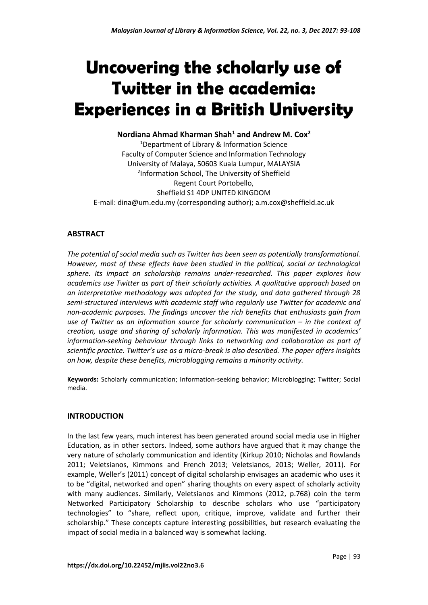# **Uncovering the scholarly use of Twitter in the academia: Experiences in a British University**

# **Nordiana Ahmad Kharman Shah<sup>1</sup> and Andrew M. Cox<sup>2</sup>**

<sup>1</sup>Department of Library & Information Science Faculty of Computer Science and Information Technology University of Malaya, 50603 Kuala Lumpur, MALAYSIA 2 Information School, The University of Sheffield Regent Court Portobello, Sheffield S1 4DP UNITED KINGDOM E-mail: dina@um.edu.my (corresponding author); a.m.cox@sheffield.ac.uk

# **ABSTRACT**

*The potential of social media such as Twitter has been seen as potentially transformational. However, most of these effects have been studied in the political, social or technological sphere. Its impact on scholarship remains under-researched. This paper explores how academics use Twitter as part of their scholarly activities. A qualitative approach based on an interpretative methodology was adopted for the study, and data gathered through 28 semi-structured interviews with academic staff who regularly use Twitter for academic and non-academic purposes. The findings uncover the rich benefits that enthusiasts gain from use of Twitter as an information source for scholarly communication – in the context of creation, usage and sharing of scholarly information. This was manifested in academics' information-seeking behaviour through links to networking and collaboration as part of scientific practice. Twitter's use as a micro-break is also described. The paper offers insights on how, despite these benefits, microblogging remains a minority activity.*

**Keywords:** Scholarly communication; Information-seeking behavior; Microblogging; Twitter; Social media.

# **INTRODUCTION**

In the last few years, much interest has been generated around social media use in Higher Education, as in other sectors. Indeed, some authors have argued that it may change the very nature of scholarly communication and identity (Kirkup 2010; Nicholas and Rowlands 2011; Veletsianos, Kimmons and French 2013; Veletsianos, 2013; Weller, 2011). For example, Weller's (2011) concept of digital scholarship envisages an academic who uses it to be "digital, networked and open" sharing thoughts on every aspect of scholarly activity with many audiences. Similarly, Veletsianos and Kimmons (2012, p.768) coin the term Networked Participatory Scholarship to describe scholars who use "participatory technologies" to "share, reflect upon, critique, improve, validate and further their scholarship." These concepts capture interesting possibilities, but research evaluating the impact of social media in a balanced way is somewhat lacking.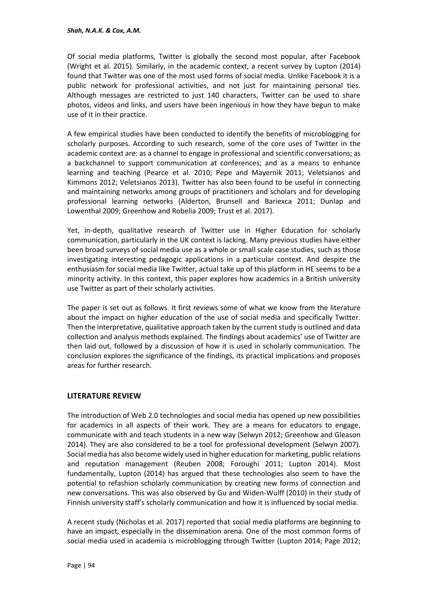Of social media platforms, Twitter is globally the second most popular, after Facebook (Wright et al. 2015). Similarly, in the academic context, a recent survey by Lupton (2014) found that Twitter was one of the most used forms of social media. Unlike Facebook it is a public network for professional activities, and not just for maintaining personal ties. Although messages are restricted to just 140 characters, Twitter can be used to share photos, videos and links, and users have been ingenious in how they have begun to make use of it in their practice.

A few empirical studies have been conducted to identify the benefits of microblogging for scholarly purposes. According to such research, some of the core uses of Twitter in the academic context are: as a channel to engage in professional and scientific conversations; as a backchannel to support communication at conferences; and as a means to enhance learning and teaching (Pearce et al. 2010; Pepe and Mayernik 2011; Veletsianos and Kimmons 2012; Veletsianos 2013). Twitter has also been found to be useful in connecting and maintaining networks among groups of practitioners and scholars and for developing professional learning networks (Alderton, Brunsell and Bariexca 2011; Dunlap and Lowenthal 2009; Greenhow and Robelia 2009; Trust et al. 2017).

Yet, in-depth, qualitative research of Twitter use in Higher Education for scholarly communication, particularly in the UK context is lacking. Many previous studies have either been broad surveys of social media use as a whole or small scale case studies, such as those investigating interesting pedagogic applications in a particular context. And despite the enthusiasm for social media like Twitter, actual take up of this platform in HE seems to be a minority activity. In this context, this paper explores how academics in a British university use Twitter as part of their scholarly activities.

The paper is set out as follows. It first reviews some of what we know from the literature about the impact on higher education of the use of social media and specifically Twitter. Then the interpretative, qualitative approach taken by the current study is outlined and data collection and analysis methods explained. The findings about academics' use of Twitter are then laid out, followed by a discussion of how it is used in scholarly communication. The conclusion explores the significance of the findings, its practical implications and proposes areas for further research.

# **LITERATURE REVIEW**

The introduction of Web 2.0 technologies and social media has opened up new possibilities for academics in all aspects of their work. They are a means for educators to engage, communicate with and teach students in a new way (Selwyn 2012; Greenhow and Gleason 2014). They are also considered to be a tool for professional development (Selwyn 2007). Social media has also become widely used in higher education for marketing, public relations and reputation management (Reuben 2008; Foroughi 2011; Lupton 2014). Most fundamentally, Lupton (2014) has argued that these technologies also seem to have the potential to refashion scholarly communication by creating new forms of connection and new conversations. This was also observed by Gu and Widen-Wulff (2010) in their study of Finnish university staff's scholarly communication and how it is influenced by social media.

A recent study (Nicholas et al. 2017) reported that social media platforms are beginning to have an impact, especially in the dissemination arena. One of the most common forms of social media used in academia is microblogging through Twitter (Lupton 2014; Page 2012;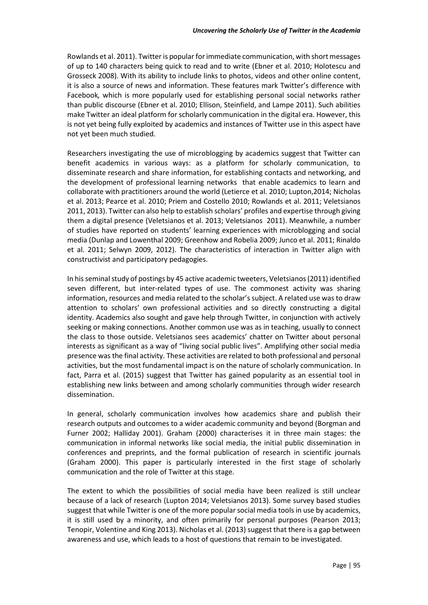Rowlands et al. 2011). Twitter is popular for immediate communication, with short messages of up to 140 characters being quick to read and to write (Ebner et al. 2010; Holotescu and Grosseck 2008). With its ability to include links to photos, videos and other online content, it is also a source of news and information. These features mark Twitter's difference with Facebook*,* which is more popularly used for establishing personal social networks rather than public discourse (Ebner et al. 2010; Ellison, Steinfield, and Lampe 2011). Such abilities make Twitter an ideal platform for scholarly communication in the digital era. However, this is not yet being fully exploited by academics and instances of Twitter use in this aspect have not yet been much studied.

Researchers investigating the use of microblogging by academics suggest that Twitter can benefit academics in various ways: as a platform for scholarly communication, to disseminate research and share information, for establishing contacts and networking, and the development of professional learning networks that enable academics to learn and collaborate with practitioners around the world (Letierce et al. 2010; Lupton,2014; Nicholas et al. 2013; Pearce et al. 2010; Priem and Costello 2010; Rowlands et al. 2011; Veletsianos 2011, 2013). Twitter can also help to establish scholars' profiles and expertise through giving them a digital presence (Veletsianos et al. 2013; Veletsianos 2011). Meanwhile, a number of studies have reported on students' learning experiences with microblogging and social media (Dunlap and Lowenthal 2009; Greenhow and Robelia 2009; Junco et al. 2011; Rinaldo et al. 2011; Selwyn 2009, 2012). The characteristics of interaction in Twitter align with constructivist and participatory pedagogies.

In his seminal study of postings by 45 active academic tweeters, Veletsianos (2011) identified seven different, but inter-related types of use. The commonest activity was sharing information, resources and media related to the scholar's subject. A related use was to draw attention to scholars' own professional activities and so directly constructing a digital identity. Academics also sought and gave help through Twitter, in conjunction with actively seeking or making connections. Another common use was as in teaching, usually to connect the class to those outside. Veletsianos sees academics' chatter on Twitter about personal interests as significant as a way of "living social public lives". Amplifying other social media presence was the final activity. These activities are related to both professional and personal activities, but the most fundamental impact is on the nature of scholarly communication. In fact, Parra et al. (2015) suggest that Twitter has gained popularity as an essential tool in establishing new links between and among scholarly communities through wider research dissemination.

In general, scholarly communication involves how academics share and publish their research outputs and outcomes to a wider academic community and beyond (Borgman and Furner 2002; Halliday 2001). Graham (2000) characterises it in three main stages: the communication in informal networks like social media, the initial public dissemination in conferences and preprints, and the formal publication of research in scientific journals (Graham 2000). This paper is particularly interested in the first stage of scholarly communication and the role of Twitter at this stage.

The extent to which the possibilities of social media have been realized is still unclear because of a lack of research (Lupton 2014; Veletsianos 2013). Some survey based studies suggest that while Twitter is one of the more popular social media tools in use by academics, it is still used by a minority, and often primarily for personal purposes (Pearson 2013; Tenopir, Volentine and King 2013). Nicholas et al. (2013) suggest that there is a gap between awareness and use, which leads to a host of questions that remain to be investigated.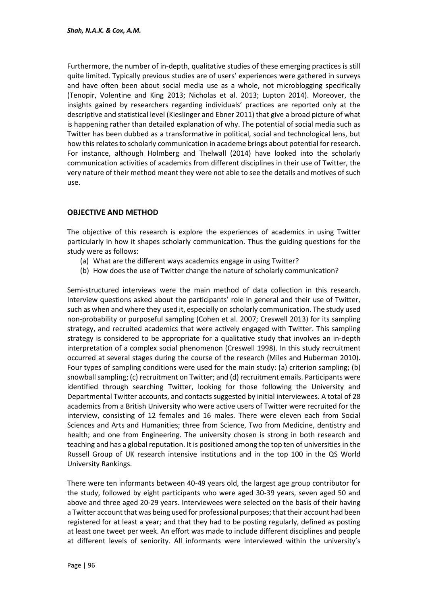Furthermore, the number of in-depth, qualitative studies of these emerging practices is still quite limited. Typically previous studies are of users' experiences were gathered in surveys and have often been about social media use as a whole, not microblogging specifically (Tenopir, Volentine and King 2013; Nicholas et al. 2013; Lupton 2014). Moreover, the insights gained by researchers regarding individuals' practices are reported only at the descriptive and statistical level (Kieslinger and Ebner 2011) that give a broad picture of what is happening rather than detailed explanation of why. The potential of social media such as Twitter has been dubbed as a transformative in political, social and technological lens, but how this relates to scholarly communication in academe brings about potential for research. For instance, although Holmberg and Thelwall (2014) have looked into the scholarly communication activities of academics from different disciplines in their use of Twitter, the very nature of their method meant they were not able to see the details and motives of such use.

# **OBJECTIVE AND METHOD**

The objective of this research is explore the experiences of academics in using Twitter particularly in how it shapes scholarly communication. Thus the guiding questions for the study were as follows:

- (a) What are the different ways academics engage in using Twitter?
- (b) How does the use of Twitter change the nature of scholarly communication?

Semi-structured interviews were the main method of data collection in this research. Interview questions asked about the participants' role in general and their use of Twitter, such as when and where they used it, especially on scholarly communication. The study used non-probability or purposeful sampling (Cohen et al. 2007; Creswell 2013) for its sampling strategy, and recruited academics that were actively engaged with Twitter. This sampling strategy is considered to be appropriate for a qualitative study that involves an in-depth interpretation of a complex social phenomenon (Creswell 1998). In this study recruitment occurred at several stages during the course of the research (Miles and Huberman 2010). Four types of sampling conditions were used for the main study: (a) criterion sampling; (b) snowball sampling; (c) recruitment on Twitter; and (d) recruitment emails. Participants were identified through searching Twitter, looking for those following the University and Departmental Twitter accounts, and contacts suggested by initial interviewees. A total of 28 academics from a British University who were active users of Twitter were recruited for the interview, consisting of 12 females and 16 males. There were eleven each from Social Sciences and Arts and Humanities; three from Science, Two from Medicine, dentistry and health; and one from Engineering. The university chosen is strong in both research and teaching and has a global reputation. It is positioned among the top ten of universities in the Russell Group of UK research intensive institutions and in the top 100 in the QS World University Rankings.

There were ten informants between 40-49 years old, the largest age group contributor for the study, followed by eight participants who were aged 30-39 years, seven aged 50 and above and three aged 20-29 years. Interviewees were selected on the basis of their having a Twitter account that was being used for professional purposes; that their account had been registered for at least a year; and that they had to be posting regularly, defined as posting at least one tweet per week. An effort was made to include different disciplines and people at different levels of seniority. All informants were interviewed within the university's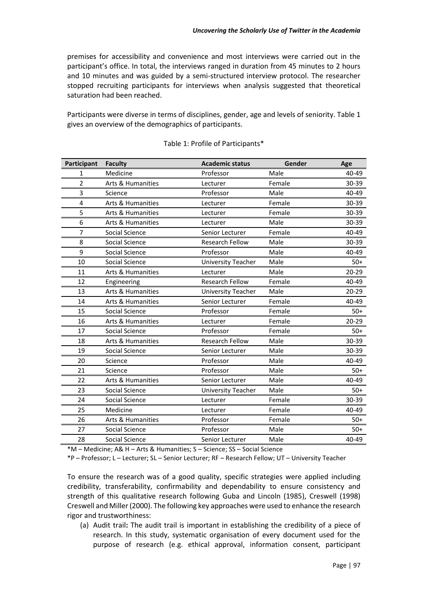premises for accessibility and convenience and most interviews were carried out in the participant's office. In total, the interviews ranged in duration from 45 minutes to 2 hours and 10 minutes and was guided by a semi-structured interview protocol. The researcher stopped recruiting participants for interviews when analysis suggested that theoretical saturation had been reached.

Participants were diverse in terms of disciplines, gender, age and levels of seniority. Table 1 gives an overview of the demographics of participants.

| Participant    | <b>Faculty</b>               | <b>Academic status</b> | Gender | Age       |
|----------------|------------------------------|------------------------|--------|-----------|
| 1              | Medicine                     | Professor              | Male   | 40-49     |
| $\overline{2}$ | <b>Arts &amp; Humanities</b> | Lecturer               | Female | 30-39     |
| 3              | Science                      | Professor              | Male   | 40-49     |
| 4              | <b>Arts &amp; Humanities</b> | Lecturer               | Female | 30-39     |
| 5              | <b>Arts &amp; Humanities</b> | Lecturer               | Female | 30-39     |
| 6              | <b>Arts &amp; Humanities</b> | Lecturer               | Male   | 30-39     |
| $\overline{7}$ | Social Science               | Senior Lecturer        | Female | 40-49     |
| 8              | Social Science               | <b>Research Fellow</b> | Male   | 30-39     |
| 9              | Social Science               | Professor              | Male   | 40-49     |
| 10             | Social Science               | University Teacher     | Male   | $50+$     |
| 11             | <b>Arts &amp; Humanities</b> | Lecturer               | Male   | $20 - 29$ |
| 12             | Engineering                  | <b>Research Fellow</b> | Female | 40-49     |
| 13             | <b>Arts &amp; Humanities</b> | University Teacher     | Male   | $20 - 29$ |
| 14             | Arts & Humanities            | Senior Lecturer        | Female | 40-49     |
| 15             | Social Science               | Professor              | Female | $50+$     |
| 16             | <b>Arts &amp; Humanities</b> | Lecturer               | Female | $20 - 29$ |
| 17             | Social Science               | Professor              | Female | $50+$     |
| 18             | <b>Arts &amp; Humanities</b> | <b>Research Fellow</b> | Male   | 30-39     |
| 19             | Social Science               | Senior Lecturer        | Male   | 30-39     |
| 20             | Science                      | Professor              | Male   | 40-49     |
| 21             | Science                      | Professor              | Male   | $50+$     |
| 22             | <b>Arts &amp; Humanities</b> | Senior Lecturer        | Male   | 40-49     |
| 23             | Social Science               | University Teacher     | Male   | $50+$     |
| 24             | Social Science               | Lecturer               | Female | 30-39     |
| 25             | Medicine                     | Lecturer               | Female | 40-49     |
| 26             | <b>Arts &amp; Humanities</b> | Professor              | Female | $50+$     |
| 27             | Social Science               | Professor              | Male   | $50+$     |
| 28             | Social Science               | Senior Lecturer        | Male   | 40-49     |

#### Table 1: Profile of Participants\*

\*M – Medicine; A& H – Arts & Humanities; S – Science; SS – Social Science

\*P – Professor; L – Lecturer; SL – Senior Lecturer; RF – Research Fellow; UT – University Teacher

To ensure the research was of a good quality, specific strategies were applied including credibility, transferability, confirmability and dependability to ensure consistency and strength of this qualitative research following Guba and Lincoln (1985), Creswell (1998) Creswell and Miller (2000). The following key approaches were used to enhance the research rigor and trustworthiness:

(a) Audit trail**:** The audit trail is important in establishing the credibility of a piece of research. In this study, systematic organisation of every document used for the purpose of research (e.g. ethical approval, information consent, participant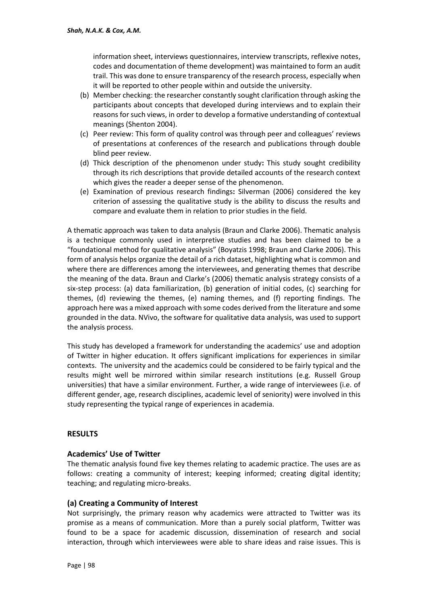information sheet, interviews questionnaires, interview transcripts, reflexive notes, codes and documentation of theme development) was maintained to form an audit trail. This was done to ensure transparency of the research process, especially when it will be reported to other people within and outside the university.

- (b) Member checking: the researcher constantly sought clarification through asking the participants about concepts that developed during interviews and to explain their reasons for such views, in order to develop a formative understanding of contextual meanings (Shenton 2004).
- (c) Peer review: This form of quality control was through peer and colleagues' reviews of presentations at conferences of the research and publications through double blind peer review.
- (d) Thick description of the phenomenon under study**:** This study sought credibility through its rich descriptions that provide detailed accounts of the research context which gives the reader a deeper sense of the phenomenon.
- (e) Examination of previous research findings**:** Silverman (2006) considered the key criterion of assessing the qualitative study is the ability to discuss the results and compare and evaluate them in relation to prior studies in the field.

A thematic approach was taken to data analysis (Braun and Clarke 2006). Thematic analysis is a technique commonly used in interpretive studies and has been claimed to be a "foundational method for qualitative analysis" (Boyatzis 1998; Braun and Clarke 2006). This form of analysis helps organize the detail of a rich dataset, highlighting what is common and where there are differences among the interviewees, and generating themes that describe the meaning of the data. Braun and Clarke's (2006) thematic analysis strategy consists of a six-step process: (a) data familiarization, (b) generation of initial codes, (c) searching for themes, (d) reviewing the themes, (e) naming themes, and (f) reporting findings. The approach here was a mixed approach with some codes derived from the literature and some grounded in the data. NVivo, the software for qualitative data analysis, was used to support the analysis process.

This study has developed a framework for understanding the academics' use and adoption of Twitter in higher education. It offers significant implications for experiences in similar contexts. The university and the academics could be considered to be fairly typical and the results might well be mirrored within similar research institutions (e.g. Russell Group universities) that have a similar environment. Further, a wide range of interviewees (i.e. of different gender, age, research disciplines, academic level of seniority) were involved in this study representing the typical range of experiences in academia.

# **RESULTS**

# **Academics' Use of Twitter**

The thematic analysis found five key themes relating to academic practice. The uses are as follows: creating a community of interest; keeping informed; creating digital identity; teaching; and regulating micro-breaks.

#### **(a) Creating a Community of Interest**

Not surprisingly, the primary reason why academics were attracted to Twitter was its promise as a means of communication. More than a purely social platform, Twitter was found to be a space for academic discussion, dissemination of research and social interaction, through which interviewees were able to share ideas and raise issues. This is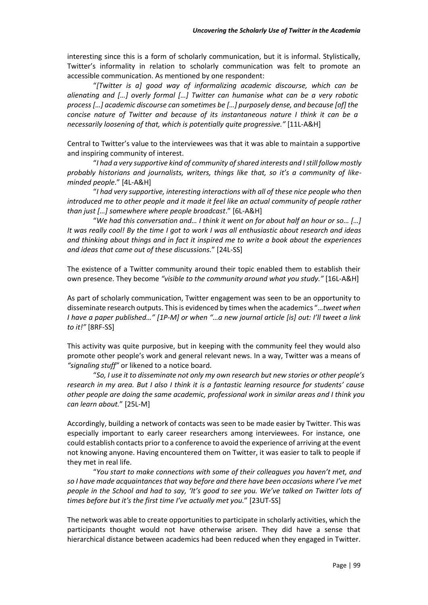interesting since this is a form of scholarly communication, but it is informal. Stylistically, Twitter's informality in relation to scholarly communication was felt to promote an accessible communication. As mentioned by one respondent:

"*[Twitter is a] good way of informalizing academic discourse, which can be alienating and […] overly formal […] Twitter can humanise what can be a very robotic process […] academic discourse can sometimes be […] purposely dense, and because [of] the concise nature of Twitter and because of its instantaneous nature I think it can be a necessarily loosening of that, which is potentially quite progressive."* [11L-A&H]

Central to Twitter's value to the interviewees was that it was able to maintain a supportive and inspiring community of interest.

"*I had a very supportive kind of community of shared interests and I still follow mostly probably historians and journalists, writers, things like that, so it's a community of likeminded people*." [4L-A&H]

"*I had very supportive, interesting interactions with all of these nice people who then introduced me to other people and it made it feel like an actual community of people rather than just […] somewhere where people broadcast*." [6L-A&H]

"*We had this conversation and… I think it went on for about half an hour or so… […] It was really cool! By the time I got to work I was all enthusiastic about research and ideas and thinking about things and in fact it inspired me to write a book about the experiences and ideas that came out of these discussions.*" [24L-SS]

The existence of a Twitter community around their topic enabled them to establish their own presence. They become *"visible to the community around what you study."* [16L-A&H]

As part of scholarly communication, Twitter engagement was seen to be an opportunity to disseminate research outputs. This is evidenced by times when the academics "…*tweet when I have a paper published…" [1P-M] or when "…a new journal article [is] out: I'll tweet a link to it!"* [8RF-SS]

This activity was quite purposive, but in keeping with the community feel they would also promote other people's work and general relevant news. In a way, Twitter was a means of *"signaling stuff"* or likened to a notice board.

"*So, I use it to disseminate not only my own research but new stories or other people's research in my area. But I also I think it is a fantastic learning resource for students' cause other people are doing the same academic, professional work in similar areas and I think you can learn about.*" [25L-M]

Accordingly, building a network of contacts was seen to be made easier by Twitter. This was especially important to early career researchers among interviewees. For instance, one could establish contacts prior to a conference to avoid the experience of arriving at the event not knowing anyone. Having encountered them on Twitter, it was easier to talk to people if they met in real life.

"*You start to make connections with some of their colleagues you haven't met, and so I have made acquaintances that way before and there have been occasions where I've met people in the School and had to say, 'It's good to see you. We've talked on Twitter lots of times before but it's the first time I've actually met you.*" [23UT-SS]

The network was able to create opportunities to participate in scholarly activities, which the participants thought would not have otherwise arisen. They did have a sense that hierarchical distance between academics had been reduced when they engaged in Twitter.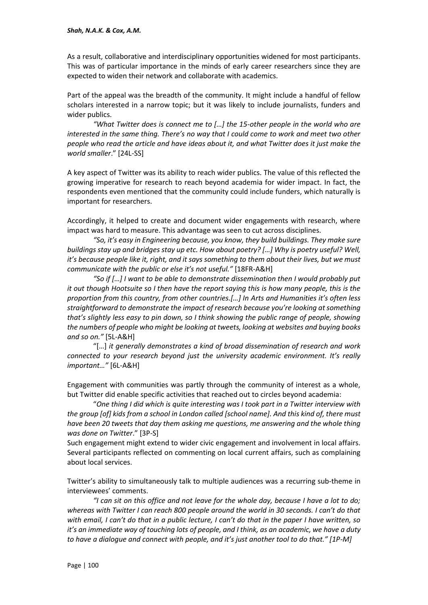As a result, collaborative and interdisciplinary opportunities widened for most participants. This was of particular importance in the minds of early career researchers since they are expected to widen their network and collaborate with academics.

Part of the appeal was the breadth of the community. It might include a handful of fellow scholars interested in a narrow topic; but it was likely to include journalists, funders and wider publics.

*"What Twitter does is connect me to […] the 15-other people in the world who are interested in the same thing. There's no way that I could come to work and meet two other people who read the article and have ideas about it, and what Twitter does it just make the world smaller*." [24L-SS]

A key aspect of Twitter was its ability to reach wider publics. The value of this reflected the growing imperative for research to reach beyond academia for wider impact. In fact, the respondents even mentioned that the community could include funders, which naturally is important for researchers.

Accordingly, it helped to create and document wider engagements with research, where impact was hard to measure. This advantage was seen to cut across disciplines.

*"So, it's easy in Engineering because, you know, they build buildings. They make sure buildings stay up and bridges stay up etc. How about poetry? […] Why is poetry useful? Well, it's because people like it, right, and it says something to them about their lives, but we must communicate with the public or else it's not useful."* [18FR-A&H]

*"So if […] I want to be able to demonstrate dissemination then I would probably put it out though Hootsuite so I then have the report saying this is how many people, this is the proportion from this country, from other countries.[…] In Arts and Humanities it's often less straightforward to demonstrate the impact of research because you're looking at something that's slightly less easy to pin down, so I think showing the public range of people, showing the numbers of people who might be looking at tweets, looking at websites and buying books and so on."* [5L-A&H]

"[…] *it generally demonstrates a kind of broad dissemination of research and work connected to your research beyond just the university academic environment. It's really important…"* [6L-A&H]

Engagement with communities was partly through the community of interest as a whole, but Twitter did enable specific activities that reached out to circles beyond academia:

"*One thing I did which is quite interesting was I took part in a Twitter interview with the group [of] kids from a school in London called [school name]. And this kind of, there must have been 20 tweets that day them asking me questions, me answering and the whole thing was done on Twitter*." [3P-S]

Such engagement might extend to wider civic engagement and involvement in local affairs. Several participants reflected on commenting on local current affairs, such as complaining about local services.

Twitter's ability to simultaneously talk to multiple audiences was a recurring sub-theme in interviewees' comments.

*"I can sit on this office and not leave for the whole day, because I have a lot to do; whereas with Twitter I can reach 800 people around the world in 30 seconds. I can't do that with email, I can't do that in a public lecture, I can't do that in the paper I have written, so it's an immediate way of touching lots of people, and I think, as an academic, we have a duty to have a dialogue and connect with people, and it's just another tool to do that." [1P-M]*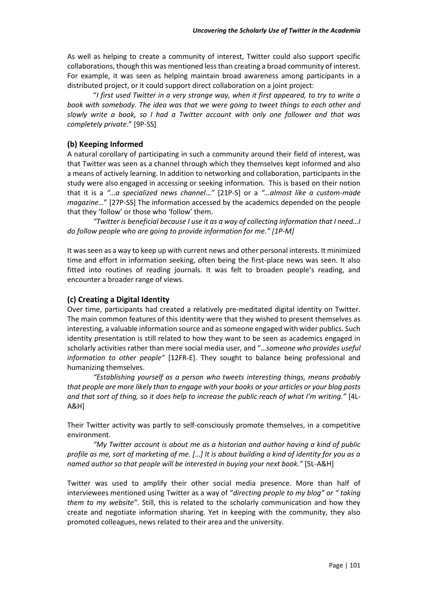As well as helping to create a community of interest, Twitter could also support specific collaborations, though this was mentioned less than creating a broad community of interest. For example, it was seen as helping maintain broad awareness among participants in a distributed project, or it could support direct collaboration on a joint project:

"*I first used Twitter in a very strange way, when it first appeared, to try to write a book with somebody. The idea was that we were going to tweet things to each other and slowly write a book, so I had a Twitter account with only one follower and that was completely private*." [9P-SS]

# **(b) Keeping Informed**

A natural corollary of participating in such a community around their field of interest, was that Twitter was seen as a channel through which they themselves kept informed and also a means of actively learning. In addition to networking and collaboration, participants in the study were also engaged in accessing or seeking information. This is based on their notion that it is a *"*…*a specialized news channel*…*"* [21P-S] or a *"…almost like a custom-made magazine…*" [27P-SS] The information accessed by the academics depended on the people that they 'follow' or those who 'follow' them.

*"Twitter is beneficial because I use it as a way of collecting information that I need…I do follow people who are going to provide information for me." [1P-M]*

It was seen as a way to keep up with current news and other personal interests. It minimized time and effort in information seeking, often being the first-place news was seen. It also fitted into routines of reading journals. It was felt to broaden people's reading, and encounter a broader range of views.

# **(c) Creating a Digital Identity**

Over time, participants had created a relatively pre-meditated digital identity on Twitter. The main common features of this identity were that they wished to present themselves as interesting, a valuable information source and as someone engaged with wider publics. Such identity presentation is still related to how they want to be seen as academics engaged in scholarly activities rather than mere social media user, and "*…someone who provides useful information to other people"* [12FR-E]. They sought to balance being professional and humanizing themselves.

*"Establishing yourself as a person who tweets interesting things, means probably that people are more likely than to engage with your books or your articles or your blog posts and that sort of thing, so it does help to increase the public reach of what I'm writing."* [4L-A&H]

Their Twitter activity was partly to self-consciously promote themselves, in a competitive environment.

*"My Twitter account is about me as a historian and author having a kind of public profile as me, sort of marketing of me. […] It is about building a kind of identity for you as a named author so that people will be interested in buying your next book."* [5L-A&H]

Twitter was used to amplify their other social media presence. More than half of interviewees mentioned using Twitter as a way of "*directing people to my blog" or " taking them to my website"*. Still, this is related to the scholarly communication and how they create and negotiate information sharing. Yet in keeping with the community, they also promoted colleagues, news related to their area and the university.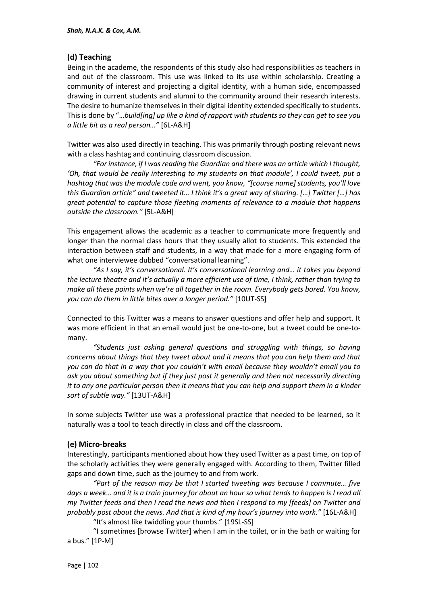# **(d) Teaching**

Being in the academe, the respondents of this study also had responsibilities as teachers in and out of the classroom. This use was linked to its use within scholarship. Creating a community of interest and projecting a digital identity, with a human side, encompassed drawing in current students and alumni to the community around their research interests. The desire to humanize themselves in their digital identity extended specifically to students. This is done by "…*build[ing] up like a kind of rapport with students so they can get to see you a little bit as a real person…"* [6L-A&H]

Twitter was also used directly in teaching. This was primarily through posting relevant news with a class hashtag and continuing classroom discussion.

*"For instance, if I was reading the Guardian and there was an article which I thought, 'Oh, that would be really interesting to my students on that module', I could tweet, put a hashtag that was the module code and went, you know, "[course name] students, you'll love this Guardian article" and tweeted it… I think it's a great way of sharing. […] Twitter […] has great potential to capture those fleeting moments of relevance to a module that happens outside the classroom."* [5L-A&H]

This engagement allows the academic as a teacher to communicate more frequently and longer than the normal class hours that they usually allot to students. This extended the interaction between staff and students, in a way that made for a more engaging form of what one interviewee dubbed "conversational learning".

*"As I say, it's conversational. It's conversational learning and… it takes you beyond the lecture theatre and it's actually a more efficient use of time, I think, rather than trying to make all these points when we're all together in the room. Everybody gets bored. You know, you can do them in little bites over a longer period."* [10UT-SS]

Connected to this Twitter was a means to answer questions and offer help and support. It was more efficient in that an email would just be one-to-one, but a tweet could be one-tomany.

*"Students just asking general questions and struggling with things, so having concerns about things that they tweet about and it means that you can help them and that you can do that in a way that you couldn't with email because they wouldn't email you to ask you about something but if they just post it generally and then not necessarily directing it to any one particular person then it means that you can help and support them in a kinder sort of subtle way."* [13UT-A&H]

In some subjects Twitter use was a professional practice that needed to be learned, so it naturally was a tool to teach directly in class and off the classroom.

# **(e) Micro-breaks**

Interestingly, participants mentioned about how they used Twitter as a past time, on top of the scholarly activities they were generally engaged with. According to them, Twitter filled gaps and down time, such as the journey to and from work.

*"Part of the reason may be that I started tweeting was because I commute… five*  days a week... and it is a train journey for about an hour so what tends to happen is I read all *my Twitter feeds and then I read the news and then I respond to my [feeds] on Twitter and probably post about the news. And that is kind of my hour's journey into work."* [16L-A&H]

"It's almost like twiddling your thumbs." [19SL-SS]

"I sometimes [browse Twitter] when I am in the toilet, or in the bath or waiting for a bus." [1P-M]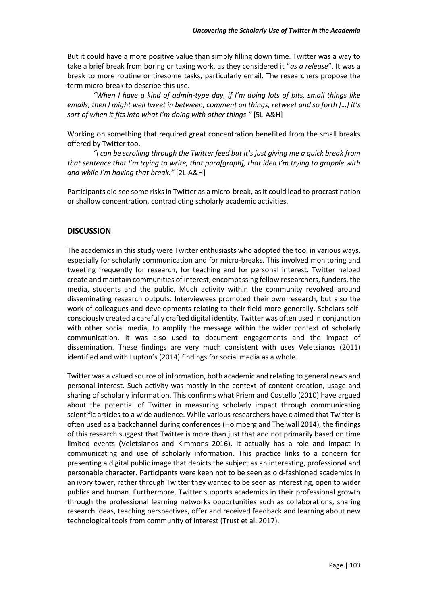But it could have a more positive value than simply filling down time. Twitter was a way to take a brief break from boring or taxing work, as they considered it "*as a release*". It was a break to more routine or tiresome tasks, particularly email. The researchers propose the term micro-break to describe this use.

*"When I have a kind of admin-type day, if I'm doing lots of bits, small things like emails, then I might well tweet in between, comment on things, retweet and so forth […] it's sort of when it fits into what I'm doing with other things."* [5L-A&H]

Working on something that required great concentration benefited from the small breaks offered by Twitter too.

*"I can be scrolling through the Twitter feed but it's just giving me a quick break from that sentence that I'm trying to write, that para[graph], that idea I'm trying to grapple with and while I'm having that break."* [2L-A&H]

Participants did see some risks in Twitter as a micro-break, as it could lead to procrastination or shallow concentration, contradicting scholarly academic activities.

# **DISCUSSION**

The academics in this study were Twitter enthusiasts who adopted the tool in various ways, especially for scholarly communication and for micro-breaks. This involved monitoring and tweeting frequently for research, for teaching and for personal interest. Twitter helped create and maintain communities of interest, encompassing fellow researchers, funders, the media, students and the public. Much activity within the community revolved around disseminating research outputs. Interviewees promoted their own research, but also the work of colleagues and developments relating to their field more generally. Scholars selfconsciously created a carefully crafted digital identity. Twitter was often used in conjunction with other social media, to amplify the message within the wider context of scholarly communication. It was also used to document engagements and the impact of dissemination. These findings are very much consistent with uses Veletsianos (2011) identified and with Lupton's (2014) findings for social media as a whole.

Twitter was a valued source of information, both academic and relating to general news and personal interest. Such activity was mostly in the context of content creation, usage and sharing of scholarly information. This confirms what Priem and Costello (2010) have argued about the potential of Twitter in measuring scholarly impact through communicating scientific articles to a wide audience. While various researchers have claimed that Twitter is often used as a backchannel during conferences (Holmberg and Thelwall 2014), the findings of this research suggest that Twitter is more than just that and not primarily based on time limited events (Veletsianos and Kimmons 2016). It actually has a role and impact in communicating and use of scholarly information. This practice links to a concern for presenting a digital public image that depicts the subject as an interesting, professional and personable character. Participants were keen not to be seen as old-fashioned academics in an ivory tower, rather through Twitter they wanted to be seen as interesting, open to wider publics and human. Furthermore, Twitter supports academics in their professional growth through the professional learning networks opportunities such as collaborations, sharing research ideas, teaching perspectives, offer and received feedback and learning about new technological tools from community of interest (Trust et al. 2017).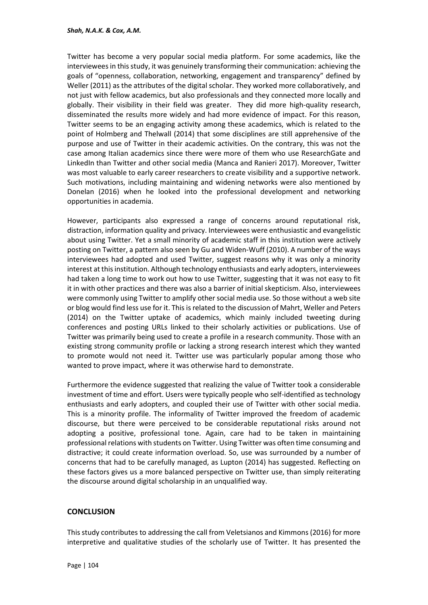Twitter has become a very popular social media platform. For some academics, like the interviewees in this study, it was genuinely transforming their communication: achieving the goals of "openness, collaboration, networking, engagement and transparency" defined by Weller (2011) as the attributes of the digital scholar. They worked more collaboratively, and not just with fellow academics, but also professionals and they connected more locally and globally. Their visibility in their field was greater. They did more high-quality research, disseminated the results more widely and had more evidence of impact. For this reason, Twitter seems to be an engaging activity among these academics, which is related to the point of Holmberg and Thelwall (2014) that some disciplines are still apprehensive of the purpose and use of Twitter in their academic activities. On the contrary, this was not the case among Italian academics since there were more of them who use ResearchGate and LinkedIn than Twitter and other social media (Manca and Ranieri 2017). Moreover, Twitter was most valuable to early career researchers to create visibility and a supportive network. Such motivations, including maintaining and widening networks were also mentioned by Donelan (2016) when he looked into the professional development and networking opportunities in academia.

However, participants also expressed a range of concerns around reputational risk, distraction, information quality and privacy. Interviewees were enthusiastic and evangelistic about using Twitter. Yet a small minority of academic staff in this institution were actively posting on Twitter, a pattern also seen by Gu and Widen-Wuff (2010). A number of the ways interviewees had adopted and used Twitter, suggest reasons why it was only a minority interest at this institution. Although technology enthusiasts and early adopters, interviewees had taken a long time to work out how to use Twitter, suggesting that it was not easy to fit it in with other practices and there was also a barrier of initial skepticism. Also, interviewees were commonly using Twitter to amplify other social media use. So those without a web site or blog would find less use for it. This is related to the discussion of Mahrt, Weller and Peters (2014) on the Twitter uptake of academics, which mainly included tweeting during conferences and posting URLs linked to their scholarly activities or publications. Use of Twitter was primarily being used to create a profile in a research community. Those with an existing strong community profile or lacking a strong research interest which they wanted to promote would not need it. Twitter use was particularly popular among those who wanted to prove impact, where it was otherwise hard to demonstrate.

Furthermore the evidence suggested that realizing the value of Twitter took a considerable investment of time and effort. Users were typically people who self-identified as technology enthusiasts and early adopters, and coupled their use of Twitter with other social media. This is a minority profile. The informality of Twitter improved the freedom of academic discourse, but there were perceived to be considerable reputational risks around not adopting a positive, professional tone. Again, care had to be taken in maintaining professional relations with students on Twitter. Using Twitter was often time consuming and distractive; it could create information overload. So, use was surrounded by a number of concerns that had to be carefully managed, as Lupton (2014) has suggested. Reflecting on these factors gives us a more balanced perspective on Twitter use, than simply reiterating the discourse around digital scholarship in an unqualified way.

# **CONCLUSION**

This study contributes to addressing the call from Veletsianos and Kimmons (2016) for more interpretive and qualitative studies of the scholarly use of Twitter. It has presented the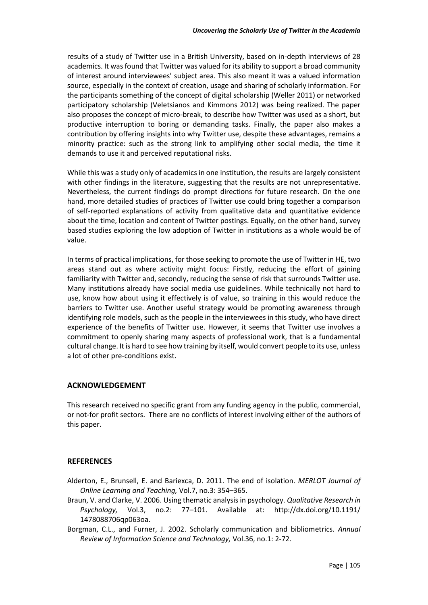results of a study of Twitter use in a British University, based on in-depth interviews of 28 academics. It was found that Twitter was valued for its ability to support a broad community of interest around interviewees' subject area. This also meant it was a valued information source, especially in the context of creation, usage and sharing of scholarly information. For the participants something of the concept of digital scholarship (Weller 2011) or networked participatory scholarship (Veletsianos and Kimmons 2012) was being realized. The paper also proposes the concept of micro-break, to describe how Twitter was used as a short, but productive interruption to boring or demanding tasks. Finally, the paper also makes a contribution by offering insights into why Twitter use, despite these advantages, remains a minority practice: such as the strong link to amplifying other social media, the time it demands to use it and perceived reputational risks.

While this was a study only of academics in one institution, the results are largely consistent with other findings in the literature, suggesting that the results are not unrepresentative. Nevertheless, the current findings do prompt directions for future research. On the one hand, more detailed studies of practices of Twitter use could bring together a comparison of self-reported explanations of activity from qualitative data and quantitative evidence about the time, location and content of Twitter postings. Equally, on the other hand, survey based studies exploring the low adoption of Twitter in institutions as a whole would be of value.

In terms of practical implications, for those seeking to promote the use of Twitter in HE, two areas stand out as where activity might focus: Firstly, reducing the effort of gaining familiarity with Twitter and, secondly, reducing the sense of risk that surrounds Twitter use. Many institutions already have social media use guidelines. While technically not hard to use, know how about using it effectively is of value, so training in this would reduce the barriers to Twitter use. Another useful strategy would be promoting awareness through identifying role models, such as the people in the interviewees in this study, who have direct experience of the benefits of Twitter use. However, it seems that Twitter use involves a commitment to openly sharing many aspects of professional work, that is a fundamental cultural change. It is hard to see how training by itself, would convert people to its use, unless a lot of other pre-conditions exist.

# **ACKNOWLEDGEMENT**

This research received no specific grant from any funding agency in the public, commercial, or not-for profit sectors. There are no conflicts of interest involving either of the authors of this paper.

# **REFERENCES**

- Alderton, E., Brunsell, E. and Bariexca, D. 2011. The end of isolation. *MERLOT Journal of Online Learning and Teaching,* Vol.7, no.3: 354–365.
- Braun, V. and Clarke, V. 2006. Using thematic analysis in psychology. *Qualitative Research in Psychology,* Vol.3, no.2: 77–101. Available at: http://dx.doi.org/10.1191/ 1478088706qp063oa.
- Borgman, C.L., and Furner, J. 2002. Scholarly communication and bibliometrics. *Annual Review of Information Science and Technology,* Vol.36, no.1: 2-72.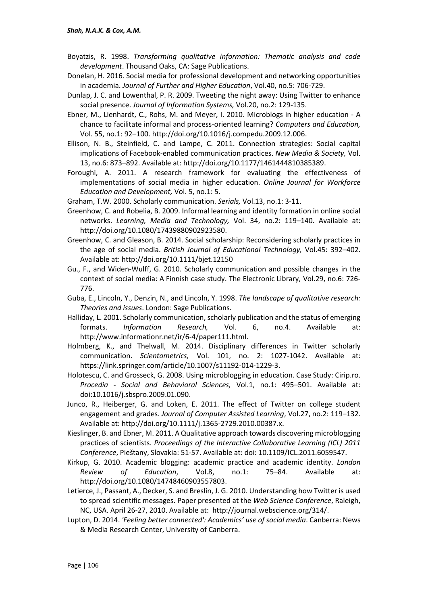- Boyatzis, R. 1998. *Transforming qualitative information: Thematic analysis and code development*. Thousand Oaks, CA: Sage Publications.
- Donelan, H. 2016. Social media for professional development and networking opportunities in academia. *Journal of Further and Higher Education*, Vol.40, no.5: 706-729.
- Dunlap, J. C. and Lowenthal, P. R. 2009. Tweeting the night away: Using Twitter to enhance social presence. *Journal of Information Systems,* Vol.20, no.2: 129-135.
- Ebner, M., Lienhardt, C., Rohs, M. and Meyer, I. 2010. Microblogs in higher education A chance to facilitate informal and process-oriented learning? *Computers and Education,*  Vol. 55, no.1: 92–100. http://doi.org/10.1016/j.compedu.2009.12.006.
- Ellison, N. B., Steinfield, C. and Lampe, C. 2011. Connection strategies: Social capital implications of Facebook-enabled communication practices. *New Media & Society,* Vol. 13, no.6: 873–892. Available at: http://doi.org/10.1177/1461444810385389.
- Foroughi, A. 2011. A research framework for evaluating the effectiveness of implementations of social media in higher education. *Online Journal for Workforce Education and Development,* Vol. 5, no.1: 5.
- Graham, T.W. 2000. Scholarly communication. *Serials,* Vol.13, no.1: 3-11.
- Greenhow, C. and Robelia, B. 2009. Informal learning and identity formation in online social networks. *Learning, Media and Technology,* Vol. 34, no.2: 119–140. Available at: http://doi.org/10.1080/17439880902923580.
- Greenhow, C. and Gleason, B. 2014. Social scholarship: Reconsidering scholarly practices in the age of social media. *British Journal of Educational Technology,* Vol.45: 392–402. Available at: http://doi.org/10.1111/bjet.12150
- Gu., F., and Widen-Wulff, G. 2010. Scholarly communication and possible changes in the context of social media: A Finnish case study. The Electronic Library, Vol.29, no.6: 726- 776.
- Guba, E., Lincoln, Y., Denzin, N., and Lincoln, Y. 1998. *The landscape of qualitative research: Theories and issues*. London: Sage Publications.
- Halliday, L. 2001. Scholarly communication, scholarly publication and the status of emerging formats. *Information Research,* Vol. 6, no.4. Available at: http://www.informationr.net/ir/6-4/paper111.html.
- Holmberg, K., and Thelwall, M. 2014. Disciplinary differences in Twitter scholarly communication. *Scientometrics,* Vol. 101, no. 2: 1027-1042. Available at: https://link.springer.com/article/10.1007/s11192-014-1229-3.
- Holotescu, C. and Grosseck, G. 2008. Using microblogging in education. Case Study: Cirip.ro. *Procedia - Social and Behavioral Sciences,* Vol.1, no.1: 495–501. Available at: doi:10.1016/j.sbspro.2009.01.090.
- Junco, R., Heiberger, G. and Loken, E. 2011. The effect of Twitter on college student engagement and grades. *Journal of Computer Assisted Learning*, Vol.27, no.2: 119–132. Available at: http://doi.org/10.1111/j.1365-2729.2010.00387.x.
- Kieslinger, B. and Ebner, M. 2011. A Qualitative approach towards discovering microblogging practices of scientists. *Proceedings of the Interactive Collaborative Learning (ICL) 2011 Conference*, Pieštany, Slovakia: 51-57. Available at: doi: 10.1109/ICL.2011.6059547.
- Kirkup, G. 2010. Academic blogging: academic practice and academic identity. *London Review of Education*, Vol.8, no.1: 75–84. Available at: http://doi.org/10.1080/14748460903557803.
- Letierce, J., Passant, A., Decker, S. and Breslin, J. G. 2010. Understanding how Twitter is used to spread scientific messages. Paper presented at the *Web Science Conference*, Raleigh, NC, USA. April 26-27, 2010. Available at: http://journal.webscience.org/314/.
- Lupton, D. 2014. *'Feeling better connected': Academics' use of social media*. Canberra: News & Media Research Center, University of Canberra.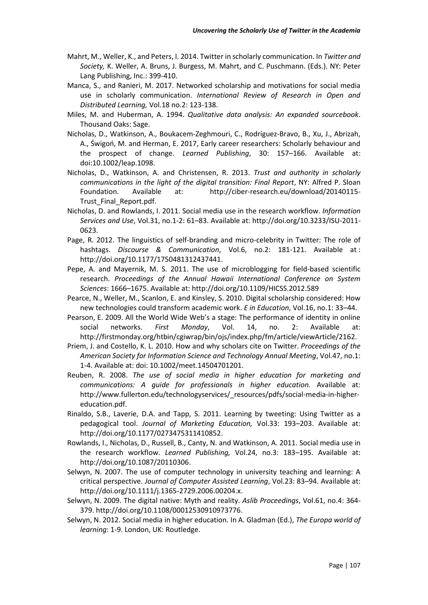- Mahrt, M., Weller, K., and Peters, I. 2014. Twitter in scholarly communication. In *Twitter and Society,* K. Weller, A. Bruns, J. Burgess, M. Mahrt, and C. Puschmann. (Eds.). NY: Peter Lang Publishing, Inc.: 399-410.
- Manca, S., and Ranieri, M. 2017. Networked scholarship and motivations for social media use in scholarly communication. *International Review of Research in Open and Distributed Learning,* Vol.18 no.2: 123-138.
- Miles, M. and Huberman, A. 1994. *Qualitative data analysis: An expanded sourcebook*. Thousand Oaks: Sage.
- Nicholas, D., Watkinson, A., Boukacem-Zeghmouri, C., Rodríguez-Bravo, B., Xu, J., Abrizah, A., Świgoń, M. and Herman, E. 2017, Early career researchers: Scholarly behaviour and the prospect of change. *Learned Publishing*, 30: 157–166. Available at: doi:10.1002/leap.1098.
- Nicholas, D., Watkinson, A. and Christensen, R. 2013. *Trust and authority in scholarly communications in the light of the digital transition: Final Report*, NY: Alfred P. Sloan Foundation. Available at: http://ciber-research.eu/download/20140115- Trust\_Final\_Report.pdf.
- Nicholas, D. and Rowlands, I. 2011. Social media use in the research workflow. *Information Services and Use*, Vol.31, no.1-2: 61–83. Available at: http://doi.org/10.3233/ISU-2011- 0623.
- Page, R. 2012. The linguistics of self-branding and micro-celebrity in Twitter: The role of hashtags. *Discourse & Communication*, Vol.6, no.2: 181-121. Available at : http://doi.org/10.1177/1750481312437441.
- Pepe, A. and Mayernik, M. S. 2011. The use of microblogging for field-based scientific research. *Proceedings of the Annual Hawaii International Conference on System Sciences*: 1666–1675. Available at: http://doi.org/10.1109/HICSS.2012.589
- Pearce, N., Weller, M., Scanlon, E. and Kinsley, S. 2010. Digital scholarship considered: How new technologies could transform academic work. *E in Education*, Vol.16, no.1: 33–44.
- Pearson, E. 2009. All the World Wide Web's a stage: The performance of identity in online social networks. *First Monday*, Vol. 14, no. 2: Available at: http://firstmonday.org/htbin/cgiwrap/bin/ojs/index.php/fm/article/viewArticle/2162.
- Priem, J. and Costello, K. L. 2010. How and why scholars cite on Twitter. *Proceedings of the American Society for Information Science and Technology Annual Meeting*, Vol.47, no.1: 1-4. Available at: doi: 10.1002/meet.14504701201.
- Reuben, R. 2008. *The use of social media in higher education for marketing and communications: A guide for professionals in higher education.* Available at: http://www.fullerton.edu/technologyservices/\_resources/pdfs/social-media-in-highereducation.pdf.
- Rinaldo, S.B., Laverie, D.A. and Tapp, S. 2011. Learning by tweeting: Using Twitter as a pedagogical tool. *Journal of Marketing Education,* Vol.33: 193–203. Available at: http://doi.org/10.1177/0273475311410852.
- Rowlands, I., Nicholas, D., Russell, B., Canty, N. and Watkinson, A. 2011. Social media use in the research workflow. *Learned Publishing,* Vol.24, no.3: 183–195. Available at: http://doi.org/10.1087/20110306.
- Selwyn, N. 2007. The use of computer technology in university teaching and learning: A critical perspective. *Journal of Computer Assisted Learning*, Vol.23: 83–94. Available at: http://doi.org/10.1111/j.1365-2729.2006.00204.x.
- Selwyn, N. 2009. The digital native: Myth and reality. *Aslib Proceedings*, Vol.61, no.4: 364- 379. http://doi.org/10.1108/00012530910973776.
- Selwyn, N. 2012. Social media in higher education. In A. Gladman (Ed.), *The Europa world of learning*: 1-9. London, UK: Routledge.